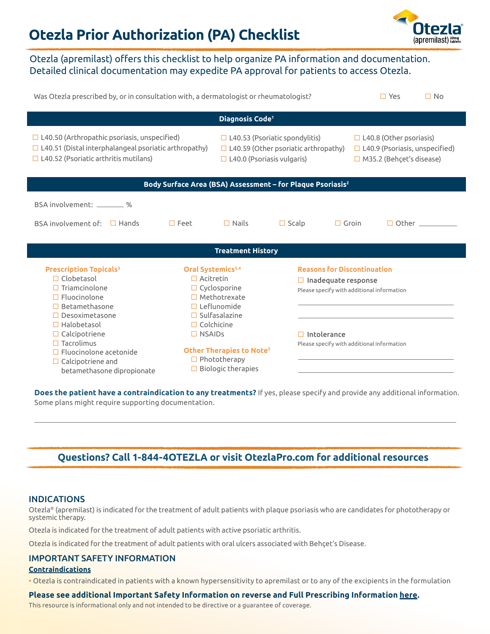# **Otezla Prior Authorization (PA) Checklist**



# Otezla (apremilast) offers this checklist to help organize PA information and documentation. Detailed clinical documentation may expedite PA approval for patients to access Otezla.

| Was Otezla prescribed by, or in consultation with, a dermatologist or rheumatologist?                                                                                                                                                                                                                                       |                                                                                         |                                                                                                                                                                                      |              |                                                                                                                                                                                    |                                                                                                            | $\square$ Yes | $\Box$ No           |
|-----------------------------------------------------------------------------------------------------------------------------------------------------------------------------------------------------------------------------------------------------------------------------------------------------------------------------|-----------------------------------------------------------------------------------------|--------------------------------------------------------------------------------------------------------------------------------------------------------------------------------------|--------------|------------------------------------------------------------------------------------------------------------------------------------------------------------------------------------|------------------------------------------------------------------------------------------------------------|---------------|---------------------|
| Diagnosis Code <sup>1</sup>                                                                                                                                                                                                                                                                                                 |                                                                                         |                                                                                                                                                                                      |              |                                                                                                                                                                                    |                                                                                                            |               |                     |
| $\Box$ L40.50 (Arthropathic psoriasis, unspecified)<br>$\Box$ L40.51 (Distal interphalangeal psoriatic arthropathy)<br>$\Box$ L40.52 (Psoriatic arthritis mutilans)                                                                                                                                                         |                                                                                         | $\Box$ L40.53 (Psoriatic spondylitis)<br>$\Box$ L40.59 (Other psoriatic arthropathy)<br>$\Box$ L40.0 (Psoriasis vulgaris)                                                            |              |                                                                                                                                                                                    | $\Box$ L40.8 (Other psoriasis)<br>$\Box$ L40.9 (Psoriasis, unspecified)<br>$\Box$ M35.2 (Behçet's disease) |               |                     |
| Body Surface Area (BSA) Assessment - for Plaque Psoriasis <sup>2</sup>                                                                                                                                                                                                                                                      |                                                                                         |                                                                                                                                                                                      |              |                                                                                                                                                                                    |                                                                                                            |               |                     |
| BSA involvement: _________ %                                                                                                                                                                                                                                                                                                |                                                                                         |                                                                                                                                                                                      |              |                                                                                                                                                                                    |                                                                                                            |               |                     |
| BSA involvement of:<br>$\Box$ Hands                                                                                                                                                                                                                                                                                         | $\square$ Feet                                                                          | $\Box$ Nails                                                                                                                                                                         | $\Box$ Scalp | $\Box$ Groin                                                                                                                                                                       |                                                                                                            |               | $\Box$ Other $\Box$ |
| <b>Treatment History</b>                                                                                                                                                                                                                                                                                                    |                                                                                         |                                                                                                                                                                                      |              |                                                                                                                                                                                    |                                                                                                            |               |                     |
| <b>Prescription Topicals<sup>3</sup></b><br>$\Box$ Clobetasol<br>$\Box$ Triamcinolone<br>$\Box$ Fluocinolone<br>$\Box$ Betamethasone<br>$\Box$ Desoximetasone<br>$\Box$ Halobetasol<br>$\Box$ Calcipotriene<br>$\Box$ Tacrolimus<br>$\Box$ Fluocinolone acetonide<br>$\Box$ Calcipotriene and<br>betamethasone dipropionate | Oral Systemics <sup>3,4</sup><br>$\Box$ Acitretin<br>$\Box$ Colchicine<br>$\Box$ NSAIDs | $\Box$ Cyclosporine<br>$\Box$ Methotrexate<br>$\Box$ Leflunomide<br>$\Box$ Sulfasalazine<br>Other Therapies to Note <sup>3</sup><br>$\Box$ Phototherapy<br>$\Box$ Biologic therapies |              | <b>Reasons for Discontinuation</b><br>$\Box$ Inadequate response<br>Please specify with additional information<br>$\Box$ Intolerance<br>Please specify with additional information |                                                                                                            |               |                     |

**Does the patient have a contraindication to any treatments?** If yes, please specify and provide any additional information. Some plans might require supporting documentation.

# **Questions? Call 1-844-4OTEZLA or visit OtezlaPro.com for additional resources**

# INDICATIONS

Otezla® (apremilast) is indicated for the treatment of adult patients with plaque psoriasis who are candidates for phototherapy or systemic therapy.

Otezla is indicated for the treatment of adult patients with active psoriatic arthritis.

Otezla is indicated for the treatment of adult patients with oral ulcers associated with Behçet's Disease.

# IMPORTANT SAFETY INFORMATION

#### **Contraindications**

• Otezla is contraindicated in patients with a known hypersensitivity to apremilast or to any of the excipients in the formulation

**Please see additional Important Safety Information on reverse and Full Prescribing Informatio[n here.](https://www.pi.amgen.com/~/media/amgen/repositorysites/pi-amgen-com/otezla/otezla_pi_english.ashx)**

This resource is informational only and not intended to be directive or a guarantee of coverage.